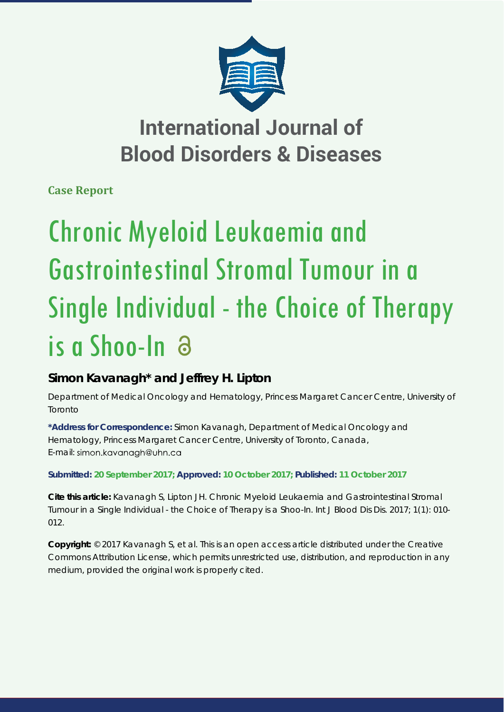

## **International Journal of Blood Disorders & Diseases**

**Case Report**

# Chronic Myeloid Leukaemia and Gastrointestinal Stromal Tumour in a Single Individual - the Choice of Therapy is a Shoo-In

### **Simon Kavanagh\* and Jeffrey H. Lipton**

*Department of Medical Oncology and Hematology, Princess Margaret Cancer Centre, University of Toronto*

**\*Address for Correspondence:** Simon Kavanagh, Department of Medical Oncology and Hematology, Princess Margaret Cancer Centre, University of Toronto, Canada, E-mail: simon.kavanagh@uhn.ca

**Submitted: 20 September 2017; Approved: 10 October 2017; Published: 11 October 2017**

**Cite this article:** Kavanagh S, Lipton JH. Chronic Myeloid Leukaemia and Gastrointestinal Stromal Tumour in a Single Individual - the Choice of Therapy is a Shoo-In. Int J Blood Dis Dis. 2017; 1(1): 010- 012.

**Copyright:** © 2017 Kavanagh S, et al. This is an open access article distributed under the Creative Commons Attribution License, which permits unrestricted use, distribution, and reproduction in any medium, provided the original work is properly cited.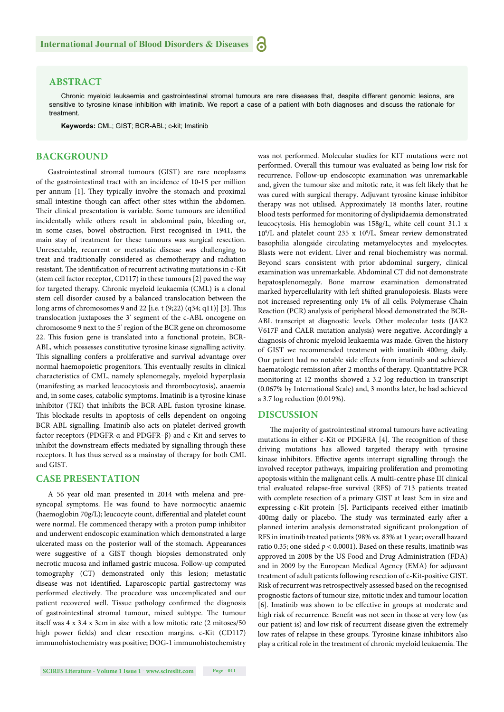#### **ABSTRACT**

Chronic myeloid leukaemia and gastrointestinal stromal tumours are rare diseases that, despite different genomic lesions, are sensitive to tyrosine kinase inhibition with imatinib. We report a case of a patient with both diagnoses and discuss the rationale for treatment.

**Keywords:** CML; GIST; BCR-ABL; c-kit; Imatinib

#### **BACKGROUND**

Gastrointestinal stromal tumours (GIST) are rare neoplasms of the gastrointestinal tract with an incidence of 10-15 per million per annum [1]. They typically involve the stomach and proximal small intestine though can affect other sites within the abdomen. Their clinical presentation is variable. Some tumours are identified incidentally while others result in abdominal pain, bleeding or, in some cases, bowel obstruction. First recognised in 1941, the main stay of treatment for these tumours was surgical resection. Unresectable, recurrent or metastatic disease was challenging to treat and traditionally considered as chemotherapy and radiation resistant. The identification of recurrent activating mutations in c-Kit (stem cell factor receptor, CD117) in these tumours [2] paved the way for targeted therapy. Chronic myeloid leukaemia (CML) is a clonal stem cell disorder caused by a balanced translocation between the long arms of chromosomes 9 and 22 [i.e. t  $(9;22)$   $(q34; q11)$ ] [3]. This translocation juxtaposes the 3' segment of the c-ABL oncogene on chromosome 9 next to the 5' region of the BCR gene on chromosome 22. This fusion gene is translated into a functional protein, BCR-ABL, which possesses constitutive tyrosine kinase signalling activity. This signalling confers a proliferative and survival advantage over normal haemopoietic progenitors. This eventually results in clinical characteristics of CML, namely splenomegaly, myeloid hyperplasia (manifesting as marked leucocytosis and thrombocytosis), anaemia and, in some cases, catabolic symptoms. Imatinib is a tyrosine kinase inhibitor (TKI) that inhibits the BCR-ABL fusion tyrosine kinase. This blockade results in apoptosis of cells dependent on ongoing BCR-ABL signalling. Imatinib also acts on platelet-derived growth factor receptors (PDGFR-α and PDGFR–β) and c-Kit and serves to inhibit the downstream effects mediated by signalling through these receptors. It has thus served as a mainstay of therapy for both CML and GIST.

#### **CASE PRESENTATION**

A 56 year old man presented in 2014 with melena and presyncopal symptoms. He was found to have normocytic anaemic (haemoglobin 70g/L); leucocyte count, differential and platelet count were normal. He commenced therapy with a proton pump inhibitor and underwent endoscopic examination which demonstrated a large ulcerated mass on the posterior wall of the stomach. Appearances were suggestive of a GIST though biopsies demonstrated only necrotic mucosa and inflamed gastric mucosa. Follow-up computed tomography (CT) demonstrated only this lesion; metastatic disease was not identified. Laparoscopic partial gastrectomy was performed electively. The procedure was uncomplicated and our patient recovered well. Tissue pathology confirmed the diagnosis of gastrointestinal stromal tumour, mixed subtype. The tumour itself was 4 x 3.4 x 3cm in size with a low mitotic rate (2 mitoses/50 high power fields) and clear resection margins. c-Kit (CD117) immunohistochemistry was positive; DOG-1 immunohistochemistry

was not performed. Molecular studies for KIT mutations were not performed. Overall this tumour was evaluated as being low risk for recurrence. Follow-up endoscopic examination was unremarkable and, given the tumour size and mitotic rate, it was felt likely that he was cured with surgical therapy. Adjuvant tyrosine kinase inhibitor therapy was not utilised. Approximately 18 months later, routine blood tests performed for monitoring of dyslipidaemia demonstrated leucocytosis. His hemoglobin was 158g/L, white cell count 31.1 x 109 /L and platelet count 235 x 109 /L. Smear review demonstrated basophilia alongside circulating metamyelocytes and myelocytes. Blasts were not evident. Liver and renal biochemistry was normal. Beyond scars consistent with prior abdominal surgery, clinical examination was unremarkable. Abdominal CT did not demonstrate hepatosplenomegaly. Bone marrow examination demonstrated marked hypercellularity with left shifted granulopoiesis. Blasts were not increased representing only 1% of all cells. Polymerase Chain Reaction (PCR) analysis of peripheral blood demonstrated the BCR-ABL transcript at diagnostic levels. Other molecular tests (JAK2 V617F and CALR mutation analysis) were negative. Accordingly a diagnosis of chronic myeloid leukaemia was made. Given the history of GIST we recommended treatment with imatinib 400mg daily. Our patient had no notable side effects from imatinib and achieved haematologic remission after 2 months of therapy. Quantitative PCR monitoring at 12 months showed a 3.2 log reduction in transcript (0.067% by International Scale) and, 3 months later, he had achieved a 3.7 log reduction (0.019%).

#### **DISCUSSION**

The majority of gastrointestinal stromal tumours have activating mutations in either c-Kit or PDGFRA [4]. The recognition of these driving mutations has allowed targeted therapy with tyrosine kinase inhibitors. Effective agents interrupt signalling through the involved receptor pathways, impairing proliferation and promoting apoptosis within the malignant cells. A multi-centre phase III clinical trial evaluated relapse-free survival (RFS) of 713 patients treated with complete resection of a primary GIST at least 3cm in size and expressing c-Kit protein [5]. Participants received either imatinib 400mg daily or placebo. The study was terminated early after a planned interim analysis demonstrated significant prolongation of RFS in imatinib treated patients (98% vs. 83% at 1 year; overall hazard ratio 0.35; one-sided  $p < 0.0001$ ). Based on these results, imatinib was approved in 2008 by the US Food and Drug Administration (FDA) and in 2009 by the European Medical Agency (EMA) for adjuvant treatment of adult patients following resection of c-Kit-positive GIST. Risk of recurrent was retrospectively assessed based on the recognised prognostic factors of tumour size, mitotic index and tumour location [6]. Imatinib was shown to be effective in groups at moderate and high risk of recurrence. Benefit was not seen in those at very low (as our patient is) and low risk of recurrent disease given the extremely low rates of relapse in these groups. Tyrosine kinase inhibitors also play a critical role in the treatment of chronic myeloid leukaemia. The